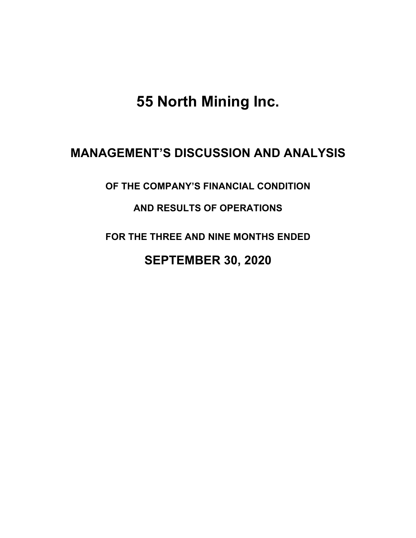**55 North Mining Inc.**

# **MANAGEMENT'S DISCUSSION AND ANALYSIS**

**OF THE COMPANY'S FINANCIAL CONDITION** 

# **AND RESULTS OF OPERATIONS**

**FOR THE THREE AND NINE MONTHS ENDED**

# **SEPTEMBER 30, 2020**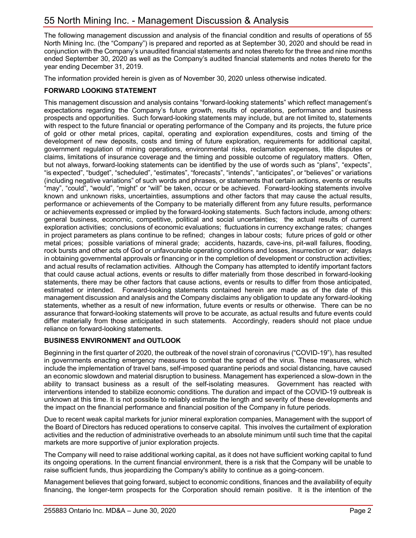The following management discussion and analysis of the financial condition and results of operations of 55 North Mining Inc. (the "Company") is prepared and reported as at September 30, 2020 and should be read in conjunction with the Company's unaudited financial statements and notes thereto for the three and nine months ended September 30, 2020 as well as the Company's audited financial statements and notes thereto for the year ending December 31, 2019.

The information provided herein is given as of November 30, 2020 unless otherwise indicated.

# **FORWARD LOOKING STATEMENT**

This management discussion and analysis contains "forward-looking statements" which reflect management's expectations regarding the Company's future growth, results of operations, performance and business prospects and opportunities. Such forward-looking statements may include, but are not limited to, statements with respect to the future financial or operating performance of the Company and its projects, the future price of gold or other metal prices, capital, operating and exploration expenditures, costs and timing of the development of new deposits, costs and timing of future exploration, requirements for additional capital, government regulation of mining operations, environmental risks, reclamation expenses, title disputes or claims, limitations of insurance coverage and the timing and possible outcome of regulatory matters. Often, but not always, forward-looking statements can be identified by the use of words such as "plans", "expects", "is expected", "budget", "scheduled", "estimates", "forecasts", "intends", "anticipates", or "believes" or variations (including negative variations" of such words and phrases, or statements that certain actions, events or results "may", "could", "would", "might" or "will" be taken, occur or be achieved. Forward-looking statements involve known and unknown risks, uncertainties, assumptions and other factors that may cause the actual results, performance or achievements of the Company to be materially different from any future results, performance or achievements expressed or implied by the forward-looking statements. Such factors include, among others: general business, economic, competitive, political and social uncertainties; the actual results of current exploration activities; conclusions of economic evaluations; fluctuations in currency exchange rates; changes in project parameters as plans continue to be refined; changes in labour costs; future prices of gold or other metal prices; possible variations of mineral grade; accidents, hazards, cave-ins, pit-wall failures, flooding, rock bursts and other acts of God or unfavourable operating conditions and losses, insurrection or war; delays in obtaining governmental approvals or financing or in the completion of development or construction activities; and actual results of reclamation activities. Although the Company has attempted to identify important factors that could cause actual actions, events or results to differ materially from those described in forward-looking statements, there may be other factors that cause actions, events or results to differ from those anticipated, estimated or intended. Forward-looking statements contained herein are made as of the date of this management discussion and analysis and the Company disclaims any obligation to update any forward-looking statements, whether as a result of new information, future events or results or otherwise. There can be no assurance that forward-looking statements will prove to be accurate, as actual results and future events could differ materially from those anticipated in such statements. Accordingly, readers should not place undue reliance on forward-looking statements.

## **BUSINESS ENVIRONMENT and OUTLOOK**

Beginning in the first quarter of 2020, the outbreak of the novel strain of coronavirus ("COVID-19"), has resulted in governments enacting emergency measures to combat the spread of the virus. These measures, which include the implementation of travel bans, self-imposed quarantine periods and social distancing, have caused an economic slowdown and material disruption to business. Management has experienced a slow-down in the ability to transact business as a result of the self-isolating measures. Government has reacted with interventions intended to stabilize economic conditions. The duration and impact of the COVID-19 outbreak is unknown at this time. It is not possible to reliably estimate the length and severity of these developments and the impact on the financial performance and financial position of the Company in future periods.

Due to recent weak capital markets for junior mineral exploration companies, Management with the support of the Board of Directors has reduced operations to conserve capital. This involves the curtailment of exploration activities and the reduction of administrative overheads to an absolute minimum until such time that the capital markets are more supportive of junior exploration projects.

The Company will need to raise additional working capital, as it does not have sufficient working capital to fund its ongoing operations. In the current financial environment, there is a risk that the Company will be unable to raise sufficient funds, thus jeopardizing the Company's ability to continue as a going-concern.

Management believes that going forward, subject to economic conditions, finances and the availability of equity financing, the longer-term prospects for the Corporation should remain positive. It is the intention of the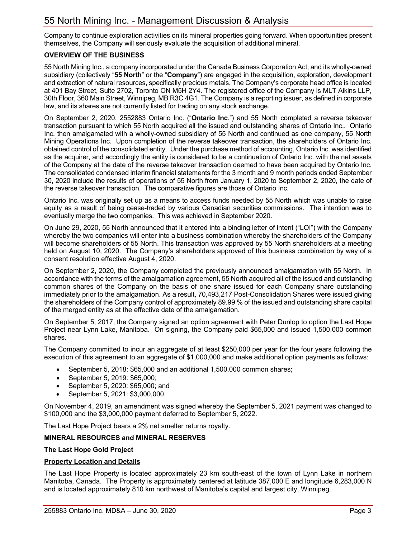Company to continue exploration activities on its mineral properties going forward. When opportunities present themselves, the Company will seriously evaluate the acquisition of additional mineral.

#### **OVERVIEW OF THE BUSINESS**

55 North Mining Inc., a company incorporated under the Canada Business Corporation Act, and its wholly-owned subsidiary (collectively "**55 North**" or the "**Company**") are engaged in the acquisition, exploration, development and extraction of natural resources, specifically precious metals. The Company's corporate head office is located at 401 Bay Street, Suite 2702, Toronto ON M5H 2Y4. The registered office of the Company is MLT Aikins LLP, 30th Floor, 360 Main Street, Winnipeg, MB R3C 4G1. The Company is a reporting issuer, as defined in corporate law, and its shares are not currently listed for trading on any stock exchange.

On September 2, 2020, 2552883 Ontario Inc. ("**Ontario Inc**.") and 55 North completed a reverse takeover transaction pursuant to which 55 North acquired all the issued and outstanding shares of Ontario Inc.. Ontario Inc. then amalgamated with a wholly-owned subsidiary of 55 North and continued as one company, 55 North Mining Operations Inc. Upon completion of the reverse takeover transaction, the shareholders of Ontario Inc. obtained control of the consolidated entity. Under the purchase method of accounting, Ontario Inc. was identified as the acquirer, and accordingly the entity is considered to be a continuation of Ontario Inc. with the net assets of the Company at the date of the reverse takeover transaction deemed to have been acquired by Ontario Inc. The consolidated condensed interim financial statements for the 3 month and 9 month periods ended September 30, 2020 include the results of operations of 55 North from January 1, 2020 to September 2, 2020, the date of the reverse takeover transaction. The comparative figures are those of Ontario Inc.

Ontario Inc. was originally set up as a means to access funds needed by 55 North which was unable to raise equity as a result of being cease-traded by various Canadian securities commissions. The intention was to eventually merge the two companies. This was achieved in September 2020.

On June 29, 2020, 55 North announced that it entered into a binding letter of intent ("LOI") with the Company whereby the two companies will enter into a business combination whereby the shareholders of the Company will become shareholders of 55 North. This transaction was approved by 55 North shareholders at a meeting held on August 10, 2020. The Company's shareholders approved of this business combination by way of a consent resolution effective August 4, 2020.

On September 2, 2020, the Company completed the previously announced amalgamation with 55 North. In accordance with the terms of the amalgamation agreement, 55 North acquired all of the issued and outstanding common shares of the Company on the basis of one share issued for each Company share outstanding immediately prior to the amalgamation. As a result, 70,493,217 Post-Consolidation Shares were issued giving the shareholders of the Company control of approximately 89.99 % of the issued and outstanding share capital of the merged entity as at the effective date of the amalgamation.

On September 5, 2017, the Company signed an option agreement with Peter Dunlop to option the Last Hope Project near Lynn Lake, Manitoba. On signing, the Company paid \$65,000 and issued 1,500,000 common shares.

The Company committed to incur an aggregate of at least \$250,000 per year for the four years following the execution of this agreement to an aggregate of \$1,000,000 and make additional option payments as follows:

- September 5, 2018: \$65,000 and an additional 1,500,000 common shares;
- September 5, 2019: \$65,000;
- September 5, 2020: \$65,000; and
- September 5, 2021: \$3,000,000.

On November 4, 2019, an amendment was signed whereby the September 5, 2021 payment was changed to \$100,000 and the \$3,000,000 payment deferred to September 5, 2022.

The Last Hope Project bears a 2% net smelter returns royalty.

#### **MINERAL RESOURCES and MINERAL RESERVES**

#### **The Last Hope Gold Project**

#### **Property Location and Details**

The Last Hope Property is located approximately 23 km south-east of the town of Lynn Lake in northern Manitoba, Canada. The Property is approximately centered at latitude 387,000 E and longitude 6,283,000 N and is located approximately 810 km northwest of Manitoba's capital and largest city, Winnipeg.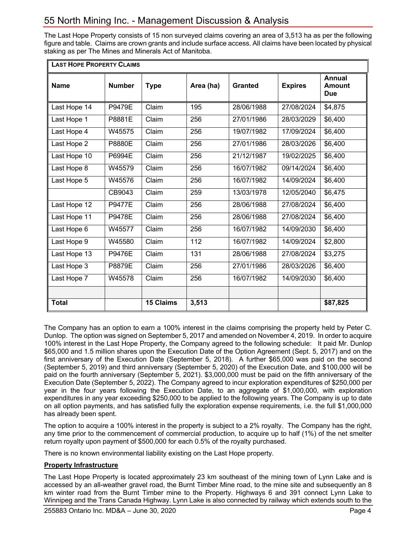The Last Hope Property consists of 15 non surveyed claims covering an area of 3,513 ha as per the following figure and table. Claims are crown grants and include surface access. All claims have been located by physical staking as per The Mines and Minerals Act of Manitoba.

| <b>LAST HOPE PROPERTY CLAIMS</b> |               |                  |                  |                |                |                                              |  |
|----------------------------------|---------------|------------------|------------------|----------------|----------------|----------------------------------------------|--|
| <b>Name</b>                      | <b>Number</b> | <b>Type</b>      | Area (ha)        | <b>Granted</b> | <b>Expires</b> | <b>Annual</b><br><b>Amount</b><br><b>Due</b> |  |
| Last Hope 14                     | P9479E        | Claim            | 195              | 28/06/1988     | 27/08/2024     | \$4,875                                      |  |
| Last Hope 1                      | P8881E        | Claim            | 256              | 27/01/1986     | 28/03/2029     | \$6,400                                      |  |
| Last Hope 4                      | W45575        | Claim            | 256              | 19/07/1982     | 17/09/2024     | \$6,400                                      |  |
| Last Hope 2                      | P8880E        | Claim            | 256              | 27/01/1986     | 28/03/2026     | \$6,400                                      |  |
| Last Hope 10                     | P6994E        | Claim            | 256              | 21/12/1987     | 19/02/2025     | \$6,400                                      |  |
| Last Hope 8                      | W45579        | Claim            | 256              | 16/07/1982     | 09/14/2024     | \$6,400                                      |  |
| Last Hope 5                      | W45576        | Claim            | $\overline{256}$ | 16/07/1982     | 14/09/2024     | \$6,400                                      |  |
|                                  | CB9043        | Claim            | 259              | 13/03/1978     | 12/05/2040     | \$6,475                                      |  |
| Last Hope 12                     | <b>P9477E</b> | Claim            | 256              | 28/06/1988     | 27/08/2024     | \$6,400                                      |  |
| Last Hope 11                     | P9478E        | Claim            | 256              | 28/06/1988     | 27/08/2024     | \$6,400                                      |  |
| Last Hope 6                      | W45577        | Claim            | 256              | 16/07/1982     | 14/09/2030     | \$6,400                                      |  |
| Last Hope 9                      | W45580        | Claim            | 112              | 16/07/1982     | 14/09/2024     | \$2,800                                      |  |
| Last Hope 13                     | <b>P9476E</b> | Claim            | 131              | 28/06/1988     | 27/08/2024     | \$3,275                                      |  |
| Last Hope 3                      | P8879E        | Claim            | 256              | 27/01/1986     | 28/03/2026     | \$6,400                                      |  |
| Last Hope 7                      | W45578        | Claim            | 256              | 16/07/1982     | 14/09/2030     | \$6,400                                      |  |
|                                  |               |                  |                  |                |                |                                              |  |
| <b>Total</b>                     |               | <b>15 Claims</b> | 3,513            |                |                | \$87,825                                     |  |

The Company has an option to earn a 100% interest in the claims comprising the property held by Peter C. Dunlop. The option was signed on September 5, 2017 and amended on November 4, 2019. In order to acquire 100% interest in the Last Hope Property, the Company agreed to the following schedule: It paid Mr. Dunlop \$65,000 and 1.5 million shares upon the Execution Date of the Option Agreement (Sept. 5, 2017) and on the first anniversary of the Execution Date (September 5, 2018). A further \$65,000 was paid on the second (September 5, 2019) and third anniversary (September 5, 2020) of the Execution Date, and \$100,000 will be paid on the fourth anniversary (September 5, 2021). \$3,000,000 must be paid on the fifth anniversary of the Execution Date (September 5, 2022). The Company agreed to incur exploration expenditures of \$250,000 per year in the four years following the Execution Date, to an aggregate of \$1,000,000, with exploration expenditures in any year exceeding \$250,000 to be applied to the following years. The Company is up to date on all option payments, and has satisfied fully the exploration expense requirements, i.e. the full \$1,000,000 has already been spent.

The option to acquire a 100% interest in the property is subject to a 2% royalty. The Company has the right, any time prior to the commencement of commercial production, to acquire up to half (1%) of the net smelter return royalty upon payment of \$500,000 for each 0.5% of the royalty purchased.

There is no known environmental liability existing on the Last Hope property.

#### **Property Infrastructure**

The Last Hope Property is located approximately 23 km southeast of the mining town of Lynn Lake and is accessed by an all-weather gravel road, the Burnt Timber Mine road, to the mine site and subsequently an 8 km winter road from the Burnt Timber mine to the Property. Highways 6 and 391 connect Lynn Lake to Winnipeg and the Trans Canada Highway. Lynn Lake is also connected by railway which extends south to the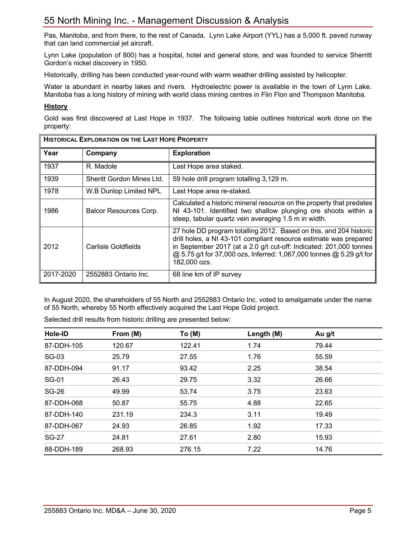Pas, Manitoba, and from there, to the rest of Canada. Lynn Lake Airport (YYL) has a 5,000 ft. paved runway that can land commercial jet aircraft.

Lynn Lake (population of 800) has a hospital, hotel and general store, and was founded to service Sherritt Gordon's nickel discovery in 1950.

Historically, drilling has been conducted year-round with warm weather drilling assisted by helicopter.

Water is abundant in nearby lakes and rivers. Hydroelectric power is available in the town of Lynn Lake. Manitoba has a long history of mining with world class mining centres in Flin Flon and Thompson Manitoba.

#### **History**

Gold was first discovered at Last Hope in 1937. The following table outlines historical work done on the property:

| <b>HISTORICAL EXPLORATION ON THE LAST HOPE PROPERTY</b> |                           |                                                                                                                                                                                                                                                                                                       |  |  |  |
|---------------------------------------------------------|---------------------------|-------------------------------------------------------------------------------------------------------------------------------------------------------------------------------------------------------------------------------------------------------------------------------------------------------|--|--|--|
| Year                                                    | Company                   | <b>Exploration</b>                                                                                                                                                                                                                                                                                    |  |  |  |
| 1937                                                    | R. Madole                 | Last Hope area staked.                                                                                                                                                                                                                                                                                |  |  |  |
| 1939                                                    | Sheritt Gordon Mines Ltd. | 59 hole drill program totalling 3,129 m.                                                                                                                                                                                                                                                              |  |  |  |
| 1978                                                    | W.B Dunlop Limited NPL    | Last Hope area re-staked.                                                                                                                                                                                                                                                                             |  |  |  |
| 1986                                                    | Balcor Resources Corp.    | Calculated a historic mineral resource on the property that predates<br>NI 43-101. Identified two shallow plunging ore shoots within a<br>steep, tabular quartz vein averaging 1.5 m in width.                                                                                                        |  |  |  |
| 2012                                                    | Carlisle Goldfields       | 27 hole DD program totalling 2012. Based on this, and 204 historic<br>drill holes, a NI 43-101 compliant resource estimate was prepared<br>in September 2017 (at a 2.0 g/t cut-off: Indicated: 201,000 tonnes<br>@ 5.75 g/t for 37,000 ozs, Inferred: 1,067,000 tonnes @ 5.29 g/t for<br>182,000 ozs. |  |  |  |
| 2017-2020                                               | 2552883 Ontario Inc.      | 68 line km of IP survey                                                                                                                                                                                                                                                                               |  |  |  |

In August 2020, the shareholders of 55 North and 2552883 Ontario Inc. voted to amalgamate under the name of 55 North, whereby 55 North effectively acquired the Last Hope Gold project.

| Hole-ID      | From (M) | To(M)  | Length (M) | Au g/t |  |
|--------------|----------|--------|------------|--------|--|
| 87-DDH-105   | 120.67   | 122.41 | 1.74       | 79.44  |  |
| SG-03        | 25.79    | 27.55  | 1.76       | 55.59  |  |
| 87-DDH-094   | 91.17    | 93.42  | 2.25       | 38.54  |  |
| <b>SG-01</b> | 26.43    | 29.75  | 3.32       | 26.66  |  |
| <b>SG-26</b> | 49.99    | 53.74  | 3.75       | 23.63  |  |
| 87-DDH-068   | 50.87    | 55.75  | 4.88       | 22.65  |  |
| 87-DDH-140   | 231.19   | 234.3  | 3.11       | 19.49  |  |
| 87-DDH-067   | 24.93    | 26.85  | 1.92       | 17.33  |  |
| <b>SG-27</b> | 24.81    | 27.61  | 2.80       | 15.93  |  |
| 88-DDH-189   | 268.93   | 276.15 | 7.22       | 14.76  |  |

Selected drill results from historic drilling are presented below: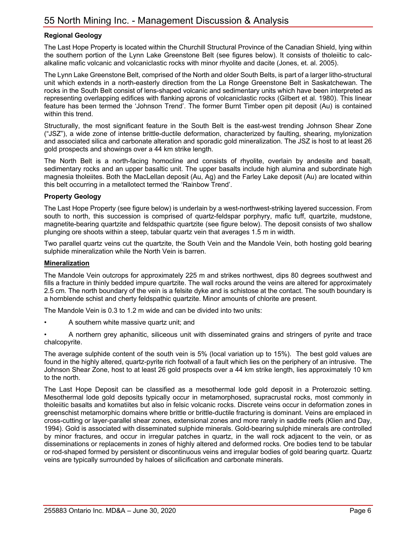#### **Regional Geology**

The Last Hope Property is located within the Churchill Structural Province of the Canadian Shield, lying within the southern portion of the Lynn Lake Greenstone Belt (see figures below). It consists of tholeiitic to calcalkaline mafic volcanic and volcaniclastic rocks with minor rhyolite and dacite (Jones, et. al. 2005).

The Lynn Lake Greenstone Belt, comprised of the North and older South Belts, is part of a larger litho-structural unit which extends in a north-easterly direction from the La Ronge Greenstone Belt in Saskatchewan. The rocks in the South Belt consist of lens-shaped volcanic and sedimentary units which have been interpreted as representing overlapping edifices with flanking aprons of volcaniclastic rocks (Gilbert et al. 1980). This linear feature has been termed the 'Johnson Trend'. The former Burnt Timber open pit deposit (Au) is contained within this trend.

Structurally, the most significant feature in the South Belt is the east-west trending Johnson Shear Zone ("JSZ"), a wide zone of intense brittle-ductile deformation, characterized by faulting, shearing, mylonization and associated silica and carbonate alteration and sporadic gold mineralization. The JSZ is host to at least 26 gold prospects and showings over a 44 km strike length.

The North Belt is a north-facing homocline and consists of rhyolite, overlain by andesite and basalt, sedimentary rocks and an upper basaltic unit. The upper basalts include high alumina and subordinate high magnesia tholeiites. Both the MacLellan deposit (Au, Ag) and the Farley Lake deposit (Au) are located within this belt occurring in a metallotect termed the 'Rainbow Trend'.

#### **Property Geology**

The Last Hope Property (see figure below) is underlain by a west-northwest-striking layered succession. From south to north, this succession is comprised of quartz-feldspar porphyry, mafic tuff, quartzite, mudstone, magnetite-bearing quartzite and feldspathic quartzite (see figure below). The deposit consists of two shallow plunging ore shoots within a steep, tabular quartz vein that averages 1.5 m in width.

Two parallel quartz veins cut the quartzite, the South Vein and the Mandole Vein, both hosting gold bearing sulphide mineralization while the North Vein is barren.

#### **Mineralization**

The Mandole Vein outcrops for approximately 225 m and strikes northwest, dips 80 degrees southwest and fills a fracture in thinly bedded impure quartzite. The wall rocks around the veins are altered for approximately 2.5 cm. The north boundary of the vein is a felsite dyke and is schistose at the contact. The south boundary is a hornblende schist and cherty feldspathic quartzite. Minor amounts of chlorite are present.

The Mandole Vein is 0.3 to 1.2 m wide and can be divided into two units:

• A southern white massive quartz unit; and

• A northern grey aphanitic, siliceous unit with disseminated grains and stringers of pyrite and trace chalcopyrite.

The average sulphide content of the south vein is 5% (local variation up to 15%). The best gold values are found in the highly altered, quartz-pyrite rich footwall of a fault which lies on the periphery of an intrusive. The Johnson Shear Zone, host to at least 26 gold prospects over a 44 km strike length, lies approximately 10 km to the north.

The Last Hope Deposit can be classified as a mesothermal lode gold deposit in a Proterozoic setting. Mesothermal lode gold deposits typically occur in metamorphosed, supracrustal rocks, most commonly in tholeiitic basalts and komatiites but also in felsic volcanic rocks. Discrete veins occur in deformation zones in greenschist metamorphic domains where brittle or brittle-ductile fracturing is dominant. Veins are emplaced in cross-cutting or layer-parallel shear zones, extensional zones and more rarely in saddle reefs (Klien and Day, 1994). Gold is associated with disseminated sulphide minerals. Gold-bearing sulphide minerals are controlled by minor fractures, and occur in irregular patches in quartz, in the wall rock adjacent to the vein, or as disseminations or replacements in zones of highly altered and deformed rocks. Ore bodies tend to be tabular or rod-shaped formed by persistent or discontinuous veins and irregular bodies of gold bearing quartz. Quartz veins are typically surrounded by haloes of silicification and carbonate minerals.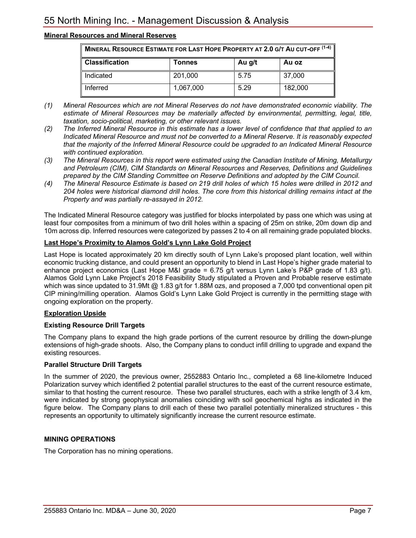# **Mineral Resources and Mineral Reserves**

| MINERAL RESOURCE ESTIMATE FOR LAST HOPE PROPERTY AT 2.0 G/T AU CUT-OFF (1-4) |           |      |         |  |  |  |
|------------------------------------------------------------------------------|-----------|------|---------|--|--|--|
| <b>Classification</b><br>Au g/t<br>Au oz<br>Tonnes                           |           |      |         |  |  |  |
| Indicated                                                                    | 201,000   | 5.75 | 37,000  |  |  |  |
| Inferred                                                                     | 1.067.000 | 5.29 | 182,000 |  |  |  |

- *(1) Mineral Resources which are not Mineral Reserves do not have demonstrated economic viability. The estimate of Mineral Resources may be materially affected by environmental, permitting, legal, title, taxation, socio-political, marketing, or other relevant issues.*
- *(2) The Inferred Mineral Resource in this estimate has a lower level of confidence that that applied to an Indicated Mineral Resource and must not be converted to a Mineral Reserve. It is reasonably expected that the majority of the Inferred Mineral Resource could be upgraded to an Indicated Mineral Resource with continued exploration.*
- *(3) The Mineral Resources in this report were estimated using the Canadian Institute of Mining, Metallurgy and Petroleum (CIM), CIM Standards on Mineral Resources and Reserves, Definitions and Guidelines prepared by the CIM Standing Committee on Reserve Definitions and adopted by the CIM Council.*
- *(4) The Mineral Resource Estimate is based on 219 drill holes of which 15 holes were drilled in 2012 and 204 holes were historical diamond drill holes. The core from this historical drilling remains intact at the Property and was partially re-assayed in 2012.*

The Indicated Mineral Resource category was justified for blocks interpolated by pass one which was using at least four composites from a minimum of two drill holes within a spacing of 25m on strike, 20m down dip and 10m across dip. Inferred resources were categorized by passes 2 to 4 on all remaining grade populated blocks.

#### **Last Hope's Proximity to Alamos Gold's Lynn Lake Gold Project**

Last Hope is located approximately 20 km directly south of Lynn Lake's proposed plant location, well within economic trucking distance, and could present an opportunity to blend in Last Hope's higher grade material to enhance project economics (Last Hope M&I grade = 6.75 g/t versus Lynn Lake's P&P grade of 1.83 g/t). Alamos Gold Lynn Lake Project's 2018 Feasibility Study stipulated a Proven and Probable reserve estimate which was since updated to 31.9Mt @ 1.83 g/t for 1.88M ozs, and proposed a 7,000 tpd conventional open pit CIP mining/milling operation. Alamos Gold's Lynn Lake Gold Project is currently in the permitting stage with ongoing exploration on the property.

#### **Exploration Upside**

#### **Existing Resource Drill Targets**

The Company plans to expand the high grade portions of the current resource by drilling the down-plunge extensions of high-grade shoots. Also, the Company plans to conduct infill drilling to upgrade and expand the existing resources.

#### **Parallel Structure Drill Targets**

In the summer of 2020, the previous owner, 2552883 Ontario Inc., completed a 68 line-kilometre Induced Polarization survey which identified 2 potential parallel structures to the east of the current resource estimate, similar to that hosting the current resource. These two parallel structures, each with a strike length of 3.4 km, were indicated by strong geophysical anomalies coinciding with soil geochemical highs as indicated in the figure below. The Company plans to drill each of these two parallel potentially mineralized structures - this represents an opportunity to ultimately significantly increase the current resource estimate.

## **MINING OPERATIONS**

The Corporation has no mining operations.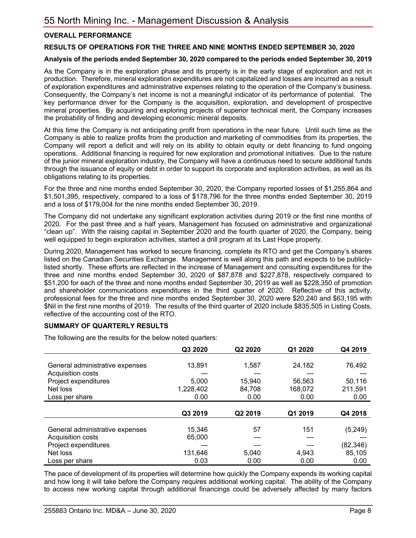### **OVERALL PERFORMANCE**

#### **RESULTS OF OPERATIONS FOR THE THREE AND NINE MONTHS ENDED SEPTEMBER 30, 2020**

#### **Analysis of the periods ended September 30, 2020 compared to the periods ended September 30, 2019**

As the Company is in the exploration phase and its property is in the early stage of exploration and not in production. Therefore, mineral exploration expenditures are not capitalized and losses are incurred as a result of exploration expenditures and administrative expenses relating to the operation of the Company's business. Consequently, the Company's net income is not a meaningful indicator of its performance of potential. The key performance driver for the Company is the acquisition, exploration, and development of prospective mineral properties. By acquiring and exploring projects of superior technical merit, the Company increases the probability of finding and developing economic mineral deposits.

At this time the Company is not anticipating profit from operations in the near future. Until such time as the Company is able to realize profits from the production and marketing of commodities from its properties, the Company will report a deficit and will rely on its ability to obtain equity or debt financing to fund ongoing operations. Additional financing is required for new exploration and promotional initiatives. Due to the nature of the junior mineral exploration industry, the Company will have a continuous need to secure additional funds through the issuance of equity or debt in order to support its corporate and exploration activities, as well as its obligations relating to its properties.

For the three and nine months ended September 30, 2020, the Company reported losses of \$1,255,864 and \$1,501,395, respectively, compared to a loss of \$178,796 for the three months ended September 30, 2019 and a loss of \$179,004 for the nine months ended September 30, 2019.

The Company did not undertake any significant exploration activities during 2019 or the first nine months of 2020. For the past three and a half years, Management has focused on administrative and organizational "clean up". With the raising capital in September 2020 and the fourth quarter of 2020, the Company, being well equipped to begin exploration activities, started a drill program at its Last Hope property.

During 2020, Management has worked to secure financing, complete its RTO and get the Company's shares listed on the Canadian Securities Exchange. Management is well along this path and expects to be publiclylisted shortly. These efforts are reflected in the increase of Management and consulting expenditures for the three and nine months ended September 30, 2020 of \$87,878 and \$227,878, respectively compared to \$51,200 for each of the three and none months ended September 30, 2019 as well as \$228,350 of promotion and shareholder communications expenditures in the third quarter of 2020. Reflective of this activity, professional fees for the three and nine months ended September 30, 2020 were \$20,240 and \$63,195 with \$Nil in the first nine months of 2019. The results of the third quarter of 2020 include \$835,505 in Listing Costs, reflective of the accounting cost of the RTO.

#### **SUMMARY OF QUARTERLY RESULTS**

The following are the results for the below noted quarters:

|                                 | Q3 2020   | Q2 2020 | Q1 2020 | Q4 2019   |
|---------------------------------|-----------|---------|---------|-----------|
|                                 |           |         |         |           |
| General administrative expenses | 13,891    | 1,587   | 24,182  | 76,492    |
| Acquisition costs               | ---       | ---     |         | $---$     |
| Project expenditures            | 5,000     | 15,940  | 56,563  | 50,116    |
| Net loss                        | 1,228,402 | 84,708  | 168,072 | 211,591   |
| Loss per share                  | 0.00      | 0.00    | 0.00    | 0.00      |
|                                 |           |         |         |           |
|                                 |           |         |         |           |
|                                 | Q3 2019   | Q2 2019 | Q1 2019 | Q4 2018   |
|                                 |           |         |         |           |
| General administrative expenses | 15,346    | 57      | 151     | (5, 249)  |
| Acquisition costs               | 65,000    |         |         |           |
| Project expenditures            |           |         |         | (82, 346) |
| Net loss                        | 131,646   | 5,040   | 4,943   | 85,105    |

The pace of development of its properties will determine how quickly the Company expends its working capital and how long it will take before the Company requires additional working capital. The ability of the Company to access new working capital through additional financings could be adversely affected by many factors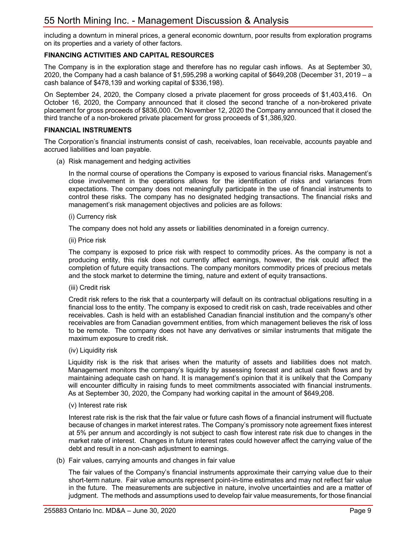including a downturn in mineral prices, a general economic downturn, poor results from exploration programs on its properties and a variety of other factors.

## **FINANCING ACTIVITIES AND CAPITAL RESOURCES**

The Company is in the exploration stage and therefore has no regular cash inflows. As at September 30, 2020, the Company had a cash balance of \$1,595,298 a working capital of \$649,208 (December 31, 2019 – a cash balance of \$478,139 and working capital of \$336,198).

On September 24, 2020, the Company closed a private placement for gross proceeds of \$1,403,416. On October 16, 2020, the Company announced that it closed the second tranche of a non-brokered private placement for gross proceeds of \$836,000. On November 12, 2020 the Company announced that it closed the third tranche of a non-brokered private placement for gross proceeds of \$1,386,920.

#### **FINANCIAL INSTRUMENTS**

The Corporation's financial instruments consist of cash, receivables, loan receivable, accounts payable and accrued liabilities and loan payable.

(a) Risk management and hedging activities

In the normal course of operations the Company is exposed to various financial risks. Management's close involvement in the operations allows for the identification of risks and variances from expectations. The company does not meaningfully participate in the use of financial instruments to control these risks. The company has no designated hedging transactions. The financial risks and management's risk management objectives and policies are as follows:

(i) Currency risk

The company does not hold any assets or liabilities denominated in a foreign currency.

(ii) Price risk

The company is exposed to price risk with respect to commodity prices. As the company is not a producing entity, this risk does not currently affect earnings, however, the risk could affect the completion of future equity transactions. The company monitors commodity prices of precious metals and the stock market to determine the timing, nature and extent of equity transactions.

(iii) Credit risk

Credit risk refers to the risk that a counterparty will default on its contractual obligations resulting in a financial loss to the entity. The company is exposed to credit risk on cash, trade receivables and other receivables. Cash is held with an established Canadian financial institution and the company's other receivables are from Canadian government entities, from which management believes the risk of loss to be remote. The company does not have any derivatives or similar instruments that mitigate the maximum exposure to credit risk.

(iv) Liquidity risk

Liquidity risk is the risk that arises when the maturity of assets and liabilities does not match. Management monitors the company's liquidity by assessing forecast and actual cash flows and by maintaining adequate cash on hand. It is management's opinion that it is unlikely that the Company will encounter difficulty in raising funds to meet commitments associated with financial instruments. As at September 30, 2020, the Company had working capital in the amount of \$649,208.

#### (v) Interest rate risk

Interest rate risk is the risk that the fair value or future cash flows of a financial instrument will fluctuate because of changes in market interest rates. The Company's promissory note agreement fixes interest at 5% per annum and accordingly is not subject to cash flow interest rate risk due to changes in the market rate of interest. Changes in future interest rates could however affect the carrying value of the debt and result in a non-cash adjustment to earnings.

(b) Fair values, carrying amounts and changes in fair value

The fair values of the Company's financial instruments approximate their carrying value due to their short-term nature. Fair value amounts represent point-in-time estimates and may not reflect fair value in the future. The measurements are subjective in nature, involve uncertainties and are a matter of judgment. The methods and assumptions used to develop fair value measurements, for those financial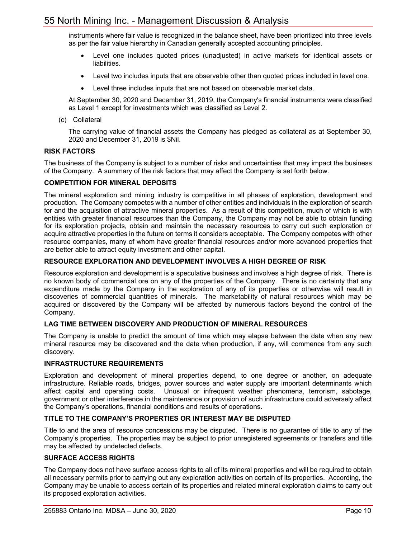instruments where fair value is recognized in the balance sheet, have been prioritized into three levels as per the fair value hierarchy in Canadian generally accepted accounting principles.

- Level one includes quoted prices (unadjusted) in active markets for identical assets or liabilities.
- Level two includes inputs that are observable other than quoted prices included in level one.
- Level three includes inputs that are not based on observable market data.

At September 30, 2020 and December 31, 2019, the Company's financial instruments were classified as Level 1 except for investments which was classified as Level 2.

(c) Collateral

The carrying value of financial assets the Company has pledged as collateral as at September 30, 2020 and December 31, 2019 is \$Nil.

#### **RISK FACTORS**

The business of the Company is subject to a number of risks and uncertainties that may impact the business of the Company. A summary of the risk factors that may affect the Company is set forth below.

#### **COMPETITION FOR MINERAL DEPOSITS**

The mineral exploration and mining industry is competitive in all phases of exploration, development and production. The Company competes with a number of other entities and individuals in the exploration of search for and the acquisition of attractive mineral properties. As a result of this competition, much of which is with entities with greater financial resources than the Company, the Company may not be able to obtain funding for its exploration projects, obtain and maintain the necessary resources to carry out such exploration or acquire attractive properties in the future on terms it considers acceptable. The Company competes with other resource companies, many of whom have greater financial resources and/or more advanced properties that are better able to attract equity investment and other capital.

#### **RESOURCE EXPLORATION AND DEVELOPMENT INVOLVES A HIGH DEGREE OF RISK**

Resource exploration and development is a speculative business and involves a high degree of risk. There is no known body of commercial ore on any of the properties of the Company. There is no certainty that any expenditure made by the Company in the exploration of any of its properties or otherwise will result in discoveries of commercial quantities of minerals. The marketability of natural resources which may be acquired or discovered by the Company will be affected by numerous factors beyond the control of the Company.

#### **LAG TIME BETWEEN DISCOVERY AND PRODUCTION OF MINERAL RESOURCES**

The Company is unable to predict the amount of time which may elapse between the date when any new mineral resource may be discovered and the date when production, if any, will commence from any such discovery.

#### **INFRASTRUCTURE REQUIREMENTS**

Exploration and development of mineral properties depend, to one degree or another, on adequate infrastructure. Reliable roads, bridges, power sources and water supply are important determinants which affect capital and operating costs. Unusual or infrequent weather phenomena, terrorism, sabotage, government or other interference in the maintenance or provision of such infrastructure could adversely affect the Company's operations, financial conditions and results of operations.

### **TITLE TO THE COMPANY'S PROPERTIES OR INTEREST MAY BE DISPUTED**

Title to and the area of resource concessions may be disputed. There is no guarantee of title to any of the Company's properties. The properties may be subject to prior unregistered agreements or transfers and title may be affected by undetected defects.

#### **SURFACE ACCESS RIGHTS**

The Company does not have surface access rights to all of its mineral properties and will be required to obtain all necessary permits prior to carrying out any exploration activities on certain of its properties. According, the Company may be unable to access certain of its properties and related mineral exploration claims to carry out its proposed exploration activities.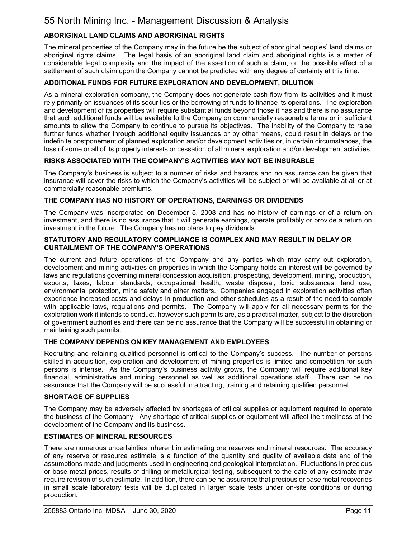# **ABORIGINAL LAND CLAIMS AND ABORIGINAL RIGHTS**

The mineral properties of the Company may in the future be the subject of aboriginal peoples' land claims or aboriginal rights claims. The legal basis of an aboriginal land claim and aboriginal rights is a matter of considerable legal complexity and the impact of the assertion of such a claim, or the possible effect of a settlement of such claim upon the Company cannot be predicted with any degree of certainty at this time.

#### **ADDITIONAL FUNDS FOR FUTURE EXPLORATION AND DEVELOPMENT, DILUTION**

As a mineral exploration company, the Company does not generate cash flow from its activities and it must rely primarily on issuances of its securities or the borrowing of funds to finance its operations. The exploration and development of its properties will require substantial funds beyond those it has and there is no assurance that such additional funds will be available to the Company on commercially reasonable terms or in sufficient amounts to allow the Company to continue to pursue its objectives. The inability of the Company to raise further funds whether through additional equity issuances or by other means, could result in delays or the indefinite postponement of planned exploration and/or development activities or, in certain circumstances, the loss of some or all of its property interests or cessation of all mineral exploration and/or development activities.

#### **RISKS ASSOCIATED WITH THE COMPANY'S ACTIVITIES MAY NOT BE INSURABLE**

The Company's business is subject to a number of risks and hazards and no assurance can be given that insurance will cover the risks to which the Company's activities will be subject or will be available at all or at commercially reasonable premiums.

### **THE COMPANY HAS NO HISTORY OF OPERATIONS, EARNINGS OR DIVIDENDS**

The Company was incorporated on December 5, 2008 and has no history of earnings or of a return on investment, and there is no assurance that it will generate earnings, operate profitably or provide a return on investment in the future. The Company has no plans to pay dividends.

#### **STATUTORY AND REGULATORY COMPLIANCE IS COMPLEX AND MAY RESULT IN DELAY OR CURTAILMENT OF THE COMPANY'S OPERATIONS**

The current and future operations of the Company and any parties which may carry out exploration, development and mining activities on properties in which the Company holds an interest will be governed by laws and regulations governing mineral concession acquisition, prospecting, development, mining, production, exports, taxes, labour standards, occupational health, waste disposal, toxic substances, land use, environmental protection, mine safety and other matters. Companies engaged in exploration activities often experience increased costs and delays in production and other schedules as a result of the need to comply with applicable laws, regulations and permits. The Company will apply for all necessary permits for the exploration work it intends to conduct, however such permits are, as a practical matter, subject to the discretion of government authorities and there can be no assurance that the Company will be successful in obtaining or maintaining such permits.

#### **THE COMPANY DEPENDS ON KEY MANAGEMENT AND EMPLOYEES**

Recruiting and retaining qualified personnel is critical to the Company's success. The number of persons skilled in acquisition, exploration and development of mining properties is limited and competition for such persons is intense. As the Company's business activity grows, the Company will require additional key financial, administrative and mining personnel as well as additional operations staff. There can be no assurance that the Company will be successful in attracting, training and retaining qualified personnel.

#### **SHORTAGE OF SUPPLIES**

The Company may be adversely affected by shortages of critical supplies or equipment required to operate the business of the Company. Any shortage of critical supplies or equipment will affect the timeliness of the development of the Company and its business.

#### **ESTIMATES OF MINERAL RESOURCES**

There are numerous uncertainties inherent in estimating ore reserves and mineral resources. The accuracy of any reserve or resource estimate is a function of the quantity and quality of available data and of the assumptions made and judgments used in engineering and geological interpretation. Fluctuations in precious or base metal prices, results of drilling or metallurgical testing, subsequent to the date of any estimate may require revision of such estimate. In addition, there can be no assurance that precious or base metal recoveries in small scale laboratory tests will be duplicated in larger scale tests under on-site conditions or during production.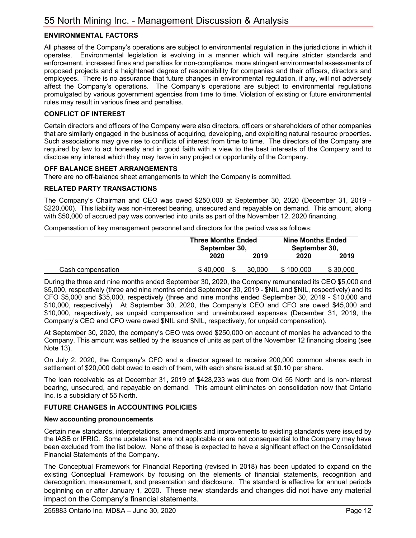## **ENVIRONMENTAL FACTORS**

All phases of the Company's operations are subject to environmental regulation in the jurisdictions in which it operates. Environmental legislation is evolving in a manner which will require stricter standards and enforcement, increased fines and penalties for non-compliance, more stringent environmental assessments of proposed projects and a heightened degree of responsibility for companies and their officers, directors and employees. There is no assurance that future changes in environmental regulation, if any, will not adversely affect the Company's operations. The Company's operations are subject to environmental regulations promulgated by various government agencies from time to time. Violation of existing or future environmental rules may result in various fines and penalties.

#### **CONFLICT OF INTEREST**

Certain directors and officers of the Company were also directors, officers or shareholders of other companies that are similarly engaged in the business of acquiring, developing, and exploiting natural resource properties. Such associations may give rise to conflicts of interest from time to time. The directors of the Company are required by law to act honestly and in good faith with a view to the best interests of the Company and to disclose any interest which they may have in any project or opportunity of the Company.

#### **OFF BALANCE SHEET ARRANGEMENTS**

There are no off-balance sheet arrangements to which the Company is committed.

#### **RELATED PARTY TRANSACTIONS**

The Company's Chairman and CEO was owed \$250,000 at September 30, 2020 (December 31, 2019 - \$220,000). This liability was non-interest bearing, unsecured and repayable on demand. This amount, along with \$50,000 of accrued pay was converted into units as part of the November 12, 2020 financing.

Compensation of key management personnel and directors for the period was as follows:

|                   | <b>Three Months Ended</b><br>September 30. | <b>Nine Months Ended</b><br>September 30. |           |          |
|-------------------|--------------------------------------------|-------------------------------------------|-----------|----------|
|                   | 2020                                       | 2019                                      | 2020      | 2019     |
| Cash compensation | \$40,000                                   | 30.000                                    | \$100,000 | \$30,000 |

During the three and nine months ended September 30, 2020, the Company remunerated its CEO \$5,000 and \$5,000, respectively (three and nine months ended September 30, 2019 - \$NIL and \$NIL, respectively) and its CFO \$5,000 and \$35,000, respectively (three and nine months ended September 30, 2019 - \$10,000 and \$10,000, respectively). At September 30, 2020, the Company's CEO and CFO are owed \$45,000 and \$10,000, respectively, as unpaid compensation and unreimbursed expenses (December 31, 2019, the Company's CEO and CFO were owed \$NIL and \$NIL, respectively, for unpaid compensation).

At September 30, 2020, the company's CEO was owed \$250,000 on account of monies he advanced to the Company. This amount was settled by the issuance of units as part of the November 12 financing closing (see Note 13).

On July 2, 2020, the Company's CFO and a director agreed to receive 200,000 common shares each in settlement of \$20,000 debt owed to each of them, with each share issued at \$0.10 per share.

The loan receivable as at December 31, 2019 of \$428,233 was due from Old 55 North and is non-interest bearing, unsecured, and repayable on demand. This amount eliminates on consolidation now that Ontario Inc. is a subsidiary of 55 North.

#### **FUTURE CHANGES in ACCOUNTING POLICIES**

#### **New accounting pronouncements**

Certain new standards, interpretations, amendments and improvements to existing standards were issued by the IASB or IFRIC. Some updates that are not applicable or are not consequential to the Company may have been excluded from the list below. None of these is expected to have a significant effect on the Consolidated Financial Statements of the Company.

The Conceptual Framework for Financial Reporting (revised in 2018) has been updated to expand on the existing Conceptual Framework by focusing on the elements of financial statements, recognition and derecognition, measurement, and presentation and disclosure. The standard is effective for annual periods beginning on or after January 1, 2020. These new standards and changes did not have any material impact on the Company's financial statements.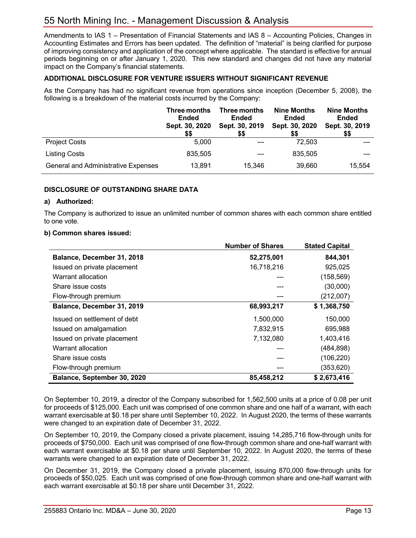Amendments to IAS 1 – Presentation of Financial Statements and IAS 8 – Accounting Policies, Changes in Accounting Estimates and Errors has been updated. The definition of "material" is being clarified for purpose of improving consistency and application of the concept where applicable. The standard is effective for annual periods beginning on or after January 1, 2020. This new standard and changes did not have any material impact on the Company's financial statements.

#### **ADDITIONAL DISCLOSURE FOR VENTURE ISSUERS WITHOUT SIGNIFICANT REVENUE**

As the Company has had no significant revenue from operations since inception (December 5, 2008), the following is a breakdown of the material costs incurred by the Company:

|                                            | Three months<br><b>Ended</b><br>Sept. 30, 2020<br>\$\$ | Three months<br><b>Ended</b><br>Sept. 30, 2019<br>\$\$ | <b>Nine Months</b><br><b>Ended</b><br>Sept. 30, 2020<br>\$\$ | <b>Nine Months</b><br><b>Ended</b><br>Sept. 30, 2019<br>\$\$ |
|--------------------------------------------|--------------------------------------------------------|--------------------------------------------------------|--------------------------------------------------------------|--------------------------------------------------------------|
| <b>Project Costs</b>                       | 5.000                                                  | ---                                                    | 72,503                                                       |                                                              |
| Listing Costs                              | 835,505                                                |                                                        | 835,505                                                      |                                                              |
| <b>General and Administrative Expenses</b> | 13,891                                                 | 15.346                                                 | 39,660                                                       | 15,554                                                       |

#### **DISCLOSURE OF OUTSTANDING SHARE DATA**

#### **a) Authorized:**

The Company is authorized to issue an unlimited number of common shares with each common share entitled to one vote.

#### **b) Common shares issued:**

|                              | <b>Number of Shares</b> | <b>Stated Capital</b> |
|------------------------------|-------------------------|-----------------------|
| Balance, December 31, 2018   | 52,275,001              | 844,301               |
| Issued on private placement  | 16,718,216              | 925,025               |
| Warrant allocation           | ---                     | (158, 569)            |
| Share issue costs            |                         | (30,000)              |
| Flow-through premium         |                         | (212,007)             |
| Balance, December 31, 2019   | 68,993,217              | \$1,368,750           |
| Issued on settlement of debt | 1,500,000               | 150,000               |
| Issued on amalgamation       | 7,832,915               | 695,988               |
| Issued on private placement  | 7,132,080               | 1,403,416             |
| Warrant allocation           | $---$                   | (484, 898)            |
| Share issue costs            |                         | (106, 220)            |
| Flow-through premium         |                         | (353, 620)            |
| Balance, September 30, 2020  | 85,458,212              | \$2,673,416           |

On September 10, 2019, a director of the Company subscribed for 1,562,500 units at a price of 0.08 per unit for proceeds of \$125,000. Each unit was comprised of one common share and one half of a warrant, with each warrant exercisable at \$0.18 per share until September 10, 2022. In August 2020, the terms of these warrants were changed to an expiration date of December 31, 2022.

On September 10, 2019, the Company closed a private placement, issuing 14,285,716 flow-through units for proceeds of \$750,000. Each unit was comprised of one flow-through common share and one-half warrant with each warrant exercisable at \$0.18 per share until September 10, 2022. In August 2020, the terms of these warrants were changed to an expiration date of December 31, 2022.

On December 31, 2019, the Company closed a private placement, issuing 870,000 flow-through units for proceeds of \$50,025. Each unit was comprised of one flow-through common share and one-half warrant with each warrant exercisable at \$0.18 per share until December 31, 2022.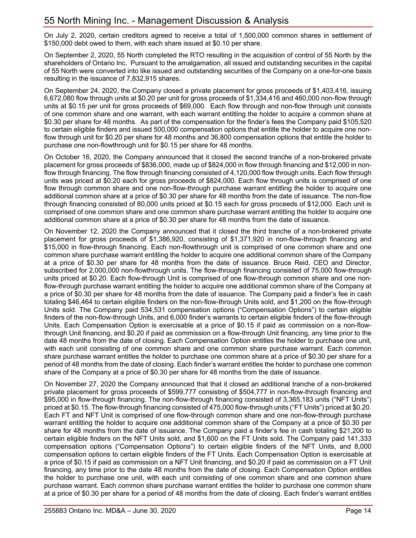On July 2, 2020, certain creditors agreed to receive a total of 1,500,000 common shares in settlement of \$150,000 debt owed to them, with each share issued at \$0.10 per share.

On September 2, 2020, 55 North completed the RTO resulting in the acquisition of control of 55 North by the shareholders of Ontario Inc. Pursuant to the amalgamation, all issued and outstanding securities in the capital of 55 North were converted into like issued and outstanding securities of the Company on a one-for-one basis resulting in the issuance of 7,832,915 shares.

On September 24, 2020, the Company closed a private placement for gross proceeds of \$1,403,416, issuing 6,672,080 flow through units at \$0.20 per unit for gross proceeds of \$1,334,416 and 460,000 non-flow through units at \$0.15 per unit for gross proceeds of \$69,000. Each flow through and non-flow through unit consists of one common share and one warrant, with each warrant entitling the holder to acquire a common share at \$0.30 per share for 48 months. As part of the compensation for the finder's fees the Company paid \$105,520 to certain eligible finders and issued 500,000 compensation options that entitle the holder to acquire one nonflow through unit for \$0.20 per share for 48 months and 36,800 compensation options that entitle the holder to purchase one non-flowthrough unit for \$0.15 per share for 48 months.

On October 16, 2020, the Company announced that it closed the second tranche of a non-brokered private placement for gross proceeds of \$836,000, made up of \$824,000 in flow through financing and \$12,000 in nonflow through financing. The flow through financing consisted of 4,120,000 flow through units. Each flow through units was priced at \$0.20 each for gross proceeds of \$824,000. Each flow through units is comprised of one flow through common share and one non-flow-through purchase warrant entitling the holder to acquire one additional common share at a price of \$0.30 per share for 48 months from the date of issuance. The non-flow through financing consisted of 80,000 units priced at \$0.15 each for gross proceeds of \$12,000. Each unit is comprised of one common share and one common share purchase warrant entitling the holder to acquire one additional common share at a price of \$0.30 per share for 48 months from the date of issuance.

On November 12, 2020 the Company announced that it closed the third tranche of a non-brokered private placement for gross proceeds of \$1,386,920, consisting of \$1,371,920 in non-flow-through financing and \$15,000 in flow-through financing. Each non-flowthrough unit is comprised of one common share and one common share purchase warrant entitling the holder to acquire one additional common share of the Company at a price of \$0.30 per share for 48 months from the date of issuance. Bruce Reid, CEO and Director, subscribed for 2,000,000 non-flowthrough units. The flow-through financing consisted of 75,000 flow-through units priced at \$0.20. Each flow-through Unit is comprised of one flow-through common share and one nonflow-through purchase warrant entitling the holder to acquire one additional common share of the Company at a price of \$0.30 per share for 48 months from the date of issuance. The Company paid a finder's fee in cash totaling \$46,464 to certain eligible finders on the non-flow-through Units sold, and \$1,200 on the flow-through Units sold. The Company paid 534,531 compensation options ("Compensation Options") to certain eligible finders of the non-flow-through Units, and 6,000 finder's warrants to certain eligible finders of the flow-through Units. Each Compensation Option is exercisable at a price of \$0.15 if paid as commission on a non-flowthrough Unit financing, and \$0.20 if paid as commission on a flow-through Unit financing, any time prior to the date 48 months from the date of closing. Each Compensation Option entitles the holder to purchase one unit, with each unit consisting of one common share and one common share purchase warrant. Each common share purchase warrant entitles the holder to purchase one common share at a price of \$0.30 per share for a period of 48 months from the date of closing. Each finder's warrant entitles the holder to purchase one common share of the Company at a price of \$0.30 per share for 48 months from the date of issuance.

On November 27, 2020 the Company announced that that it closed an additional tranche of a non-brokered private placement for gross proceeds of \$599,777 consisting of \$504,777 in non-flow-through financing and \$95,000 in flow-through financing. The non-flow-through financing consisted of 3,365,183 units ("NFT Units") priced at \$0.15. The flow-through financing consisted of 475,000 flow-through units ("FT Units") priced at \$0.20. Each FT and NFT Unit is comprised of one flow-through common share and one non-flow-through purchase warrant entitling the holder to acquire one additional common share of the Company at a price of \$0.30 per share for 48 months from the date of issuance. The Company paid a finder's fee in cash totaling \$21,200 to certain eligible finders on the NFT Units sold, and \$1,600 on the FT Units sold. The Company paid 141,333 compensation options ("Compensation Options") to certain eligible finders of the NFT Units, and 8,000 compensation options to certain eligible finders of the FT Units. Each Compensation Option is exercisable at a price of \$0.15 if paid as commission on a NFT Unit financing, and \$0.20 if paid as commission on a FT Unit financing, any time prior to the date 48 months from the date of closing. Each Compensation Option entitles the holder to purchase one unit, with each unit consisting of one common share and one common share purchase warrant. Each common share purchase warrant entitles the holder to purchase one common share at a price of \$0.30 per share for a period of 48 months from the date of closing. Each finder's warrant entitles